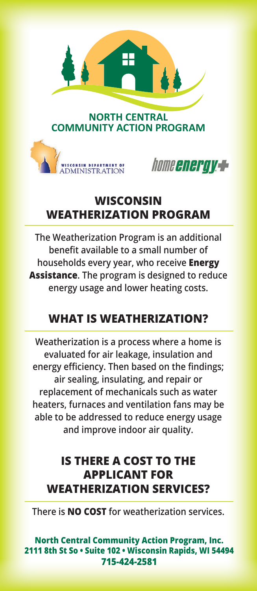

# **WISCONSIN WEATHERIZATION PROGRAM**

**The Weatherization Program is an additional benefit available to a small number of households every year, who receive Energy Assistance. The program is designed to reduce energy usage and lower heating costs.**

## **WHAT IS WEATHERIZATION?**

**Weatherization is a process where a home is evaluated for air leakage, insulation and energy efficiency. Then based on the findings; air sealing, insulating, and repair or replacement of mechanicals such as water heaters, furnaces and ventilation fans may be able to be addressed to reduce energy usage and improve indoor air quality.**

## **IS THERE A COST TO THE APPLICANT FOR WEATHERIZATION SERVICES?**

**There is NO COST for weatherization services.** 

**North Central Community Action Program, Inc. 2111 8th St So • Suite 102 • Wisconsin Rapids, WI 54494 715-424-2581**